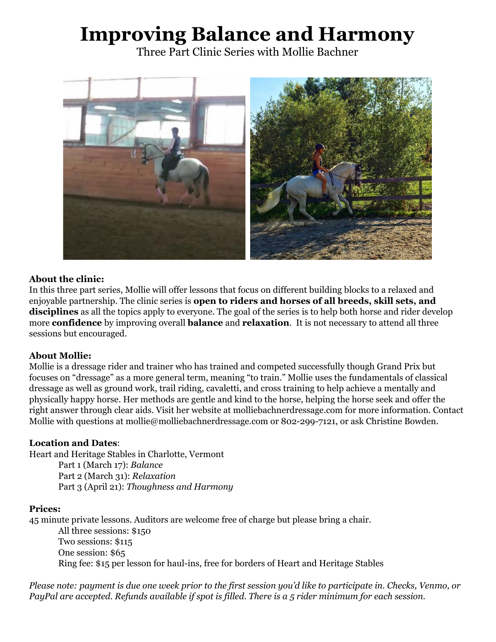# **Improving Balance and Harmony**

Three Part Clinic Series with Mollie Bachner



### **About the clinic:**

In this three part series, Mollie will offer lessons that focus on different building blocks to a relaxed and enjoyable partnership. The clinic series is **open to riders and horses of all breeds, skill sets, and disciplines** as all the topics apply to everyone. The goal of the series is to help both horse and rider develop more **confidence** by improving overall **balance** and **relaxation**. It is not necessary to attend all three sessions but encouraged.

#### **About Mollie:**

Mollie is a dressage rider and trainer who has trained and competed successfully though Grand Prix but focuses on "dressage" as a more general term, meaning "to train." Mollie uses the fundamentals of classical dressage as well as ground work, trail riding, cavaletti, and cross training to help achieve a mentally and physically happy horse. Her methods are gentle and kind to the horse, helping the horse seek and offer the right answer through clear aids. Visit her website at molliebachnerdressage.com for more information. Contact Mollie with questions at mollie@molliebachnerdressage.com or 802-299-7121, or ask Christine Bowden.

#### **Location and Dates**:

Heart and Heritage Stables in Charlotte, Vermont

Part 1 (March 17): *Balance* Part 2 (March 31): *Relaxation* Part 3 (April 21): *Thoughness and Harmony*

#### **Prices:**

45 minute private lessons. Auditors are welcome free of charge but please bring a chair.

All three sessions: \$150 Two sessions: \$115 One session: \$65 Ring fee: \$15 per lesson for haul-ins, free for borders of Heart and Heritage Stables

Please note: payment is due one week prior to the first session you'd like to participate in. Checks, Venmo, or PayPal are accepted. Refunds available if spot is filled. There is a 5 rider minimum for each session.